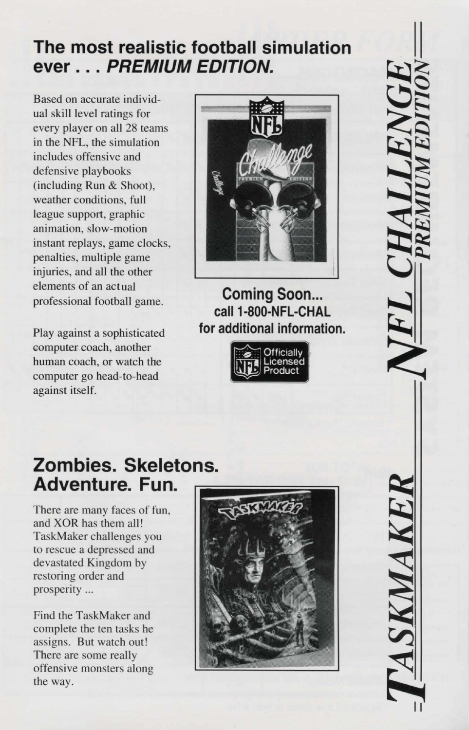#### **The most realistic football simulation ever** ... **PREMIUM EDITION.**

Based on accurate individual skill level ratings for every player on all 28 teams in the NFL, the simulation includes offensive and defensive playbooks (including Run & Shoot), weather conditions, full league support, graphic animation, slow-motion instant replays, game clocks, penalties, multiple game injuries, and all the other elements of an actual professional football game.

Play against a sophisticated computer coach, another human coach, or watch the computer go head-to-head against itself.



**Coming Soon... call 1-800-NFL-CHAL for additional information.** 



## **Zombies. Skeletons. Adventure. Fun.**

There are many faces of fun, and XOR has them all! TaskMaker challenges you to rescue a depressed and devastated Kingdom by restoring order and prosperity ...

Find the TaskMaker and complete the ten tasks he assigns. But watch out! There are some really offensive monsters along the way.

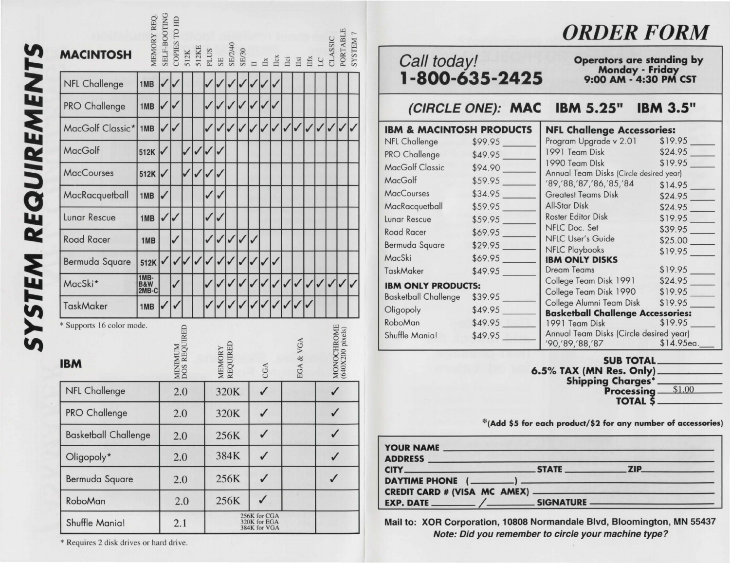| <b>UIREMENTS</b> | MA                                                                                                                                    |
|------------------|---------------------------------------------------------------------------------------------------------------------------------------|
|                  | NF <sub>l</sub>                                                                                                                       |
|                  | PRC                                                                                                                                   |
|                  | Ma                                                                                                                                    |
|                  | $\frac{Ma}{2}$                                                                                                                        |
|                  | Ma                                                                                                                                    |
| $\vec{c}$        | $\overline{M}$                                                                                                                        |
| RE               | Lun                                                                                                                                   |
|                  |                                                                                                                                       |
|                  | Roa<br>Berr                                                                                                                           |
|                  | $\overline{Ma}$                                                                                                                       |
| <b>SYSTEM</b>    | $\fbox{Task} \put (\begin{tabular}{ c c } \hline \textbf{Task} & \textbf{Task} \\ \hline \textbf{Task} & \textbf{Step} \end{tabular}$ |
|                  |                                                                                                                                       |
|                  |                                                                                                                                       |
|                  | <b>IBN</b>                                                                                                                            |
|                  | NF                                                                                                                                    |

| <b>MACINTOSH</b>                        | MEMORY REQ           | SELF-BOOTIN  | COPIES TO HD            |     |      |   |        | $\begin{array}{rcl} \text{512K} \\ \text{512K} \\ \text{512K} \\ \text{512K} \\ \text{512K} \\ \text{512K} \\ \text{512K} \\ \text{512K} \\ \text{512K} \\ \text{512K} \\ \text{512K} \\ \text{512K} \\ \text{512K} \\ \text{512K} \\ \text{512K} \\ \text{512K} \\ \text{512K} \\ \text{512K} \\ \text{512K} \\ \text{512K} \\ \text{512K} \\ \text{512K} \\ \text{512K} \\ \text{51$ |   |                                              |              |   |   |              |              |              | <b>CLASSI</b> | PORTABLE                       | SYSTEM |
|-----------------------------------------|----------------------|--------------|-------------------------|-----|------|---|--------|----------------------------------------------------------------------------------------------------------------------------------------------------------------------------------------------------------------------------------------------------------------------------------------------------------------------------------------------------------------------------------------|---|----------------------------------------------|--------------|---|---|--------------|--------------|--------------|---------------|--------------------------------|--------|
| <b>NFL Challenge</b>                    | 1MB                  |              |                         |     |      |   |        |                                                                                                                                                                                                                                                                                                                                                                                        |   |                                              |              |   |   |              |              |              |               |                                |        |
| PRO Challenge                           | 1MB                  | $\checkmark$ |                         |     |      | ✓ |        |                                                                                                                                                                                                                                                                                                                                                                                        |   |                                              |              |   |   |              |              |              |               |                                |        |
| MacGolf Classic*                        | 1MB                  | ✓            | ✓                       |     |      | ✓ |        |                                                                                                                                                                                                                                                                                                                                                                                        |   |                                              |              |   | ✓ |              | $\checkmark$ | $\checkmark$ | $\checkmark$  | $\checkmark$                   |        |
| MacGolf                                 | 512K                 | √            |                         |     | √    | ✓ |        |                                                                                                                                                                                                                                                                                                                                                                                        |   |                                              |              |   |   |              |              |              |               |                                |        |
| <b>MacCourses</b>                       | 512K                 | ✓            |                         |     | ✓    | ✓ |        |                                                                                                                                                                                                                                                                                                                                                                                        |   |                                              |              |   |   |              |              |              |               |                                |        |
| MacRacquetball                          | 1MB                  | ✓            |                         |     |      | ✓ |        |                                                                                                                                                                                                                                                                                                                                                                                        |   |                                              |              |   |   |              |              |              |               |                                |        |
| <b>Lunar Rescue</b>                     | 1MB                  | ✓            | $\checkmark$            |     |      | ✓ |        |                                                                                                                                                                                                                                                                                                                                                                                        |   |                                              |              |   |   |              |              |              |               |                                |        |
| <b>Road Racer</b>                       | 1MB                  |              | ✓                       |     |      | ✓ |        |                                                                                                                                                                                                                                                                                                                                                                                        | ✓ |                                              |              |   |   |              |              |              |               |                                |        |
| Bermuda Square                          | 512K                 | √            | ✓                       |     |      | ✓ |        |                                                                                                                                                                                                                                                                                                                                                                                        |   |                                              |              | ✓ |   |              |              |              |               |                                |        |
| MacSki*                                 | 1MB-<br>B&W<br>2MB-C |              | J                       |     |      |   |        |                                                                                                                                                                                                                                                                                                                                                                                        |   |                                              |              |   |   |              |              |              | $\checkmark$  | $\checkmark$                   |        |
| TaskMaker                               | 1MB                  |              |                         |     |      |   |        |                                                                                                                                                                                                                                                                                                                                                                                        |   |                                              |              |   |   |              |              |              |               |                                |        |
| * Supports 16 color mode.<br><b>IBM</b> |                      |              | MINIMUM<br>DOS REQUIRED |     |      |   | MEMORY | REQUIRED                                                                                                                                                                                                                                                                                                                                                                               |   |                                              | CGA          |   |   | EGA & VGA    |              |              |               | MONOCHROME<br>(640X200 pixels) |        |
| <b>NFL Challenge</b>                    |                      |              | 2.0                     |     |      |   | 320K   |                                                                                                                                                                                                                                                                                                                                                                                        |   |                                              |              |   |   |              |              | $\checkmark$ |               |                                |        |
| PRO Challenge                           |                      | 2.0          |                         |     | 320K |   |        |                                                                                                                                                                                                                                                                                                                                                                                        |   |                                              |              |   |   |              |              |              |               |                                |        |
| <b>Basketball Challenge</b>             |                      | 2.0          |                         |     | 256K |   |        | $\checkmark$                                                                                                                                                                                                                                                                                                                                                                           |   |                                              |              |   |   | $\checkmark$ |              |              |               |                                |        |
| Oligopoly*                              |                      |              | 2.0                     |     |      |   | 384K   |                                                                                                                                                                                                                                                                                                                                                                                        |   | $\checkmark$                                 |              |   |   |              |              |              | $\checkmark$  |                                |        |
| <b>Bermuda Square</b>                   |                      |              | 2.0                     |     |      |   |        | 256K                                                                                                                                                                                                                                                                                                                                                                                   |   |                                              | $\checkmark$ |   |   |              |              |              | $\checkmark$  |                                |        |
| RoboMan                                 |                      |              |                         | 2.0 |      |   |        | 256K                                                                                                                                                                                                                                                                                                                                                                                   |   |                                              | $\checkmark$ |   |   |              |              |              |               |                                |        |
| Shuffle Mania!                          |                      |              | 2.1                     |     |      |   |        |                                                                                                                                                                                                                                                                                                                                                                                        |   | 256K for CGA<br>320K for EGA<br>384K for VGA |              |   |   |              |              |              |               |                                |        |

*ORDER FORM* 

# Call today!<br>
Monday . Friday Monday - Friday<br>1-800-635-2425 9:00 AM - 4:30 PM CST

(CIRCLE ONE): MAC IBM 5.25" IBM 3.5"

| <b>IBM &amp; MACINTOSH PRODUCTS</b> |         | <b>NFL Challenge Accessories:</b>                                     |         |  |  |  |  |
|-------------------------------------|---------|-----------------------------------------------------------------------|---------|--|--|--|--|
| NFL Challenge                       | \$99.95 | Program Upgrade v 2.01                                                | \$19.95 |  |  |  |  |
| PRO Challenge                       | \$49.95 | 1991 Team Disk                                                        | \$24.95 |  |  |  |  |
| <b>MacGolf Classic</b>              | \$94.90 | 1990 Team Disk                                                        | \$19.95 |  |  |  |  |
| MacGolf                             |         | Annual Team Disks (Circle desired year)                               |         |  |  |  |  |
|                                     | \$59.95 | '89,'88,'87,'86,'85,'84                                               | \$14.95 |  |  |  |  |
| <b>MacCourses</b>                   | \$34.95 | <b>Greatest Teams Disk</b>                                            | \$24.95 |  |  |  |  |
| MacRacquetball                      | \$59.95 | All-Star Disk                                                         | \$24.95 |  |  |  |  |
| Lunar Rescue                        | \$59.95 | <b>Roster Editor Disk</b>                                             | \$19.95 |  |  |  |  |
| Road Racer                          | \$69.95 | NFLC Doc. Set                                                         | \$39.95 |  |  |  |  |
| Bermuda Square                      | \$29.95 | <b>NFLC User's Guide</b>                                              | \$25.00 |  |  |  |  |
|                                     |         | NFLC Playbooks                                                        |         |  |  |  |  |
| MacSki                              | \$69.95 | <b>IBM ONLY DISKS</b>                                                 |         |  |  |  |  |
| TaskMaker                           | \$49.95 | <b>Dream Teams</b>                                                    | \$19.95 |  |  |  |  |
| <b>IBM ONLY PRODUCTS:</b>           |         | College Team Disk 1991                                                | \$24.95 |  |  |  |  |
|                                     |         | College Team Disk 1990 \$19.95                                        |         |  |  |  |  |
| <b>Basketball Challenge</b>         | \$39.95 | College Alumni Team Disk \$19.95                                      |         |  |  |  |  |
| Oligopoly                           | \$49.95 | <b>Basketball Challenge Accessories:</b>                              |         |  |  |  |  |
| RoboMan                             | \$49.95 | 1991 Team Disk \$19.95                                                |         |  |  |  |  |
| Shuffle Mania!                      | \$49.95 | Annual Team Disks (Circle desired year)<br>'90,'89,'88,'87 \$14.95ea. |         |  |  |  |  |

SUB TOTAL 6.5% TAX (MN Res. Only)<br>Shipping Charges\*<br>Processing  $$\frac{$1.00}{$}$ **Processing TOTAL \$** 

\*(Add \$5 for each product/\$2 for any number of accessories)

| <b>YOUR NAME</b> |  |
|------------------|--|
|                  |  |
|                  |  |
|                  |  |
|                  |  |

Mail to: XOR Corporation, 10808 Normandale Blvd, Bloomington, MN 55437 Note: Did you remember to circle your machine type?

\* Requires 2 disk dri ves or hard dri ve.